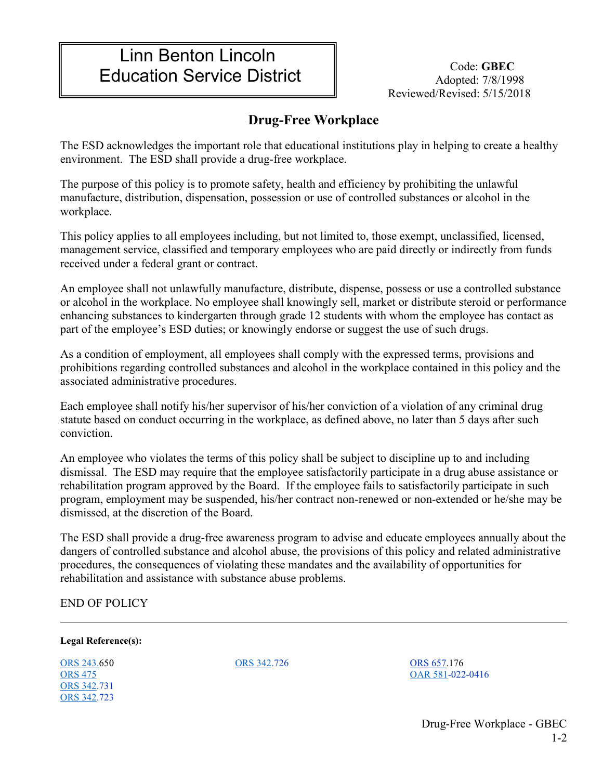## Linn Benton Lincoln Education Service District **Code: GBEC** Code: GBEC

Reviewed/Revised: 5/15/2018

## **Drug-Free Workplace**

The ESD acknowledges the important role that educational institutions play in helping to create a healthy environment. The ESD shall provide a drug-free workplace.

The purpose of this policy is to promote safety, health and efficiency by prohibiting the unlawful manufacture, distribution, dispensation, possession or use of controlled substances or alcohol in the workplace.

This policy applies to all employees including, but not limited to, those exempt, unclassified, licensed, management service, classified and temporary employees who are paid directly or indirectly from funds received under a federal grant or contract.

An employee shall not unlawfully manufacture, distribute, dispense, possess or use a controlled substance or alcohol in the workplace. No employee shall knowingly sell, market or distribute steroid or performance enhancing substances to kindergarten through grade 12 students with whom the employee has contact as part of the employee's ESD duties; or knowingly endorse or suggest the use of such drugs.

As a condition of employment, all employees shall comply with the expressed terms, provisions and prohibitions regarding controlled substances and alcohol in the workplace contained in this policy and the associated administrative procedures.

Each employee shall notify his/her supervisor of his/her conviction of a violation of any criminal drug statute based on conduct occurring in the workplace, as defined above, no later than 5 days after such conviction.

An employee who violates the terms of this policy shall be subject to discipline up to and including dismissal. The ESD may require that the employee satisfactorily participate in a drug abuse assistance or rehabilitation program approved by the Board. If the employee fails to satisfactorily participate in such program, employment may be suspended, his/her contract non-renewed or non-extended or he/she may be dismissed, at the discretion of the Board.

The ESD shall provide a drug-free awareness program to advise and educate employees annually about the dangers of controlled substance and alcohol abuse, the provisions of this policy and related administrative procedures, the consequences of violating these mandates and the availability of opportunities for rehabilitation and assistance with substance abuse problems.

END OF POLICY

**Legal Reference(s):**

[ORS 243.6](https://www.oregonlegislature.gov/bills_laws/ors/ors243.html)50 [ORS 475](http://landru.leg.state.or.us/ors/475.html) [ORS 342.](https://www.oregonlegislature.gov/bills_laws/ors/ors342.html)731 [ORS 342.](https://www.oregonlegislature.gov/bills_laws/ors/ors342.html)723

[ORS 342.](https://www.oregonlegislature.gov/bills_laws/ors/ors342.html)726 [ORS 657.1](https://www.oregonlaws.org/ors/chapter/657)76 [OAR 581-](https://secure.sos.state.or.us/oard/displayChapterRules.action?selectedChapter=137)022-0416